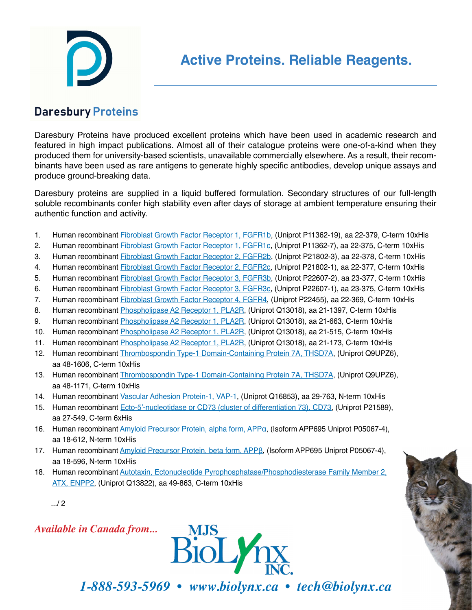## **Daresbury Proteins**

Daresbury Proteins have produced excellent proteins which have been used in academic research and featured in high impact publications. Almost all of their catalogue proteins were one-of-a-kind when they produced them for university-based scientists, unavailable commercially elsewhere. As a result, their recombinants have been used as rare antigens to generate highly specific antibodies, develop unique assays and produce ground-breaking data.

Daresbury proteins are supplied in a liquid buffered formulation. Secondary structures of our full-length soluble recombinants confer high stability even after days of storage at ambient temperature ensuring their authentic function and activity.

- 1. Human recombinant [Fibroblast Growth Factor Receptor 1, FGFR1b,](https://4ecd2c3e-c7e3-4caa-b894-af3b51b19cbd.filesusr.com/ugd/b73e3c_41528f7f24b2417fa44c58fa4f753c90.pdf) (Uniprot P11362-19), aa 22-379, C-term 10xHis
- 2. Human recombinant **Fibroblast Growth Factor Receptor 1, FGFR1c**, (Uniprot P11362-7), aa 22-375, C-term 10xHis
- 3. Human recombinant *Fibroblast Growth Factor Receptor 2, FGFR2b*, (Uniprot P21802-3), aa 22-378, C-term 10xHis
- 4. Human recombinant *Fibroblast Growth Factor Receptor 2, FGFR2c*, (Uniprot P21802-1), aa 22-377, C-term 10xHis
- 5. Human recombinant [Fibroblast Growth Factor Receptor 3, FGFR3b,](https://4ecd2c3e-c7e3-4caa-b894-af3b51b19cbd.filesusr.com/ugd/b73e3c_5c0d3c5b539b4a7088b888b3d010601b.pdf) (Uniprot P22607-2), aa 23-377, C-term 10xHis
- 6. Human recombinant [Fibroblast Growth Factor Receptor 3, FGFR3c,](https://4ecd2c3e-c7e3-4caa-b894-af3b51b19cbd.filesusr.com/ugd/b73e3c_e3205942f263459b8f209f4d594e114f.pdf) (Uniprot P22607-1), aa 23-375, C-term 10xHis
- 7. Human recombinant [Fibroblast Growth Factor Receptor 4, FGFR4](https://4ecd2c3e-c7e3-4caa-b894-af3b51b19cbd.filesusr.com/ugd/b73e3c_0992d84293834c84b632a49ee11ea422.pdf), (Uniprot P22455), aa 22-369, C-term 10xHis
- 8. Human recombinant [Phospholipase A2 Receptor 1, PLA2R,](https://4ecd2c3e-c7e3-4caa-b894-af3b51b19cbd.filesusr.com/ugd/b73e3c_3e0967f1ecfb44d1ba954f024d35aa09.pdf) (Uniprot Q13018), aa 21-1397, C-term 10xHis
- 9. Human recombinant *Phospholipase A2 Receptor 1, PLA2R*, (Uniprot Q13018), aa 21-663, C-term 10xHis
- 10. Human recombinant [Phospholipase A2 Receptor 1, PLA2R,](https://4ecd2c3e-c7e3-4caa-b894-af3b51b19cbd.filesusr.com/ugd/b73e3c_b1659a65b079439cad0d0a122a1bf837.pdf) (Uniprot Q13018), aa 21-515, C-term 10xHis
- 11. Human recombinant [Phospholipase A2 Receptor 1, PLA2R,](https://4ecd2c3e-c7e3-4caa-b894-af3b51b19cbd.filesusr.com/ugd/b73e3c_1d5ecf87f29d4ff08aef3d871b212809.pdf) (Uniprot Q13018), aa 21-173, C-term 10xHis
- 12. Human recombinant [Thrombospondin Type-1 Domain-Containing Protein 7A, THSD7A](https://4ecd2c3e-c7e3-4caa-b894-af3b51b19cbd.filesusr.com/ugd/b73e3c_554fd9a6a0d940bd98405fc7463a574d.pdf), (Uniprot Q9UPZ6), aa 48-1606, C-term 10xHis
- 13. Human recombinant [Thrombospondin Type-1 Domain-Containing Protein 7A, THSD7A](https://4ecd2c3e-c7e3-4caa-b894-af3b51b19cbd.filesusr.com/ugd/b73e3c_8af73d240d9046f7a5c4d45d74763f58.pdf), (Uniprot Q9UPZ6), aa 48-1171, C-term 10xHis
- 14. Human recombinant [Vascular Adhesion Protein-1, VAP-1](https://4ecd2c3e-c7e3-4caa-b894-af3b51b19cbd.filesusr.com/ugd/b73e3c_8ca2f394573546c4a56f5bc5379278b7.pdf), (Uniprot Q16853), aa 29-763, N-term 10xHis
- 15. Human recombinant [Ecto-5'-nucleotidase or CD73 \(cluster of differentiation 73\), CD73](https://4ecd2c3e-c7e3-4caa-b894-af3b51b19cbd.filesusr.com/ugd/b73e3c_c53d461b85394708878937e9efaf0667.pdf), (Uniprot P21589), aa 27-549, C-term 6xHis
- 16. Human recombinant [Amyloid Precursor Protein, alpha form, APPα](https://4ecd2c3e-c7e3-4caa-b894-af3b51b19cbd.filesusr.com/ugd/b73e3c_10141a43c89145e59db13719da4ece4c.pdf), (Isoform APP695 Uniprot P05067-4), aa 18-612, N-term 10xHis
- 17. Human recombinant [Amyloid Precursor Protein, beta form, APPβ](https://4ecd2c3e-c7e3-4caa-b894-af3b51b19cbd.filesusr.com/ugd/b73e3c_cfe8564a545948b89bba4b503abc1d7d.pdf), (Isoform APP695 Uniprot P05067-4), aa 18-596, N-term 10xHis
- 18. Human recombinant [Autotaxin, Ectonucleotide Pyrophosphatase/Phosphodiesterase Family Member 2,](https://4ecd2c3e-c7e3-4caa-b894-af3b51b19cbd.filesusr.com/ugd/b73e3c_c7ac0bf8074d4385acfc5cf4fd7a9faf.pdf) [ATX, ENPP2](https://4ecd2c3e-c7e3-4caa-b894-af3b51b19cbd.filesusr.com/ugd/b73e3c_c7ac0bf8074d4385acfc5cf4fd7a9faf.pdf), (Uniprot Q13822), aa 49-863, C-term 10xHis

.../ 2

*Available in Canada from...*



*1-888-593-5969 • www.biolynx.ca • tech@biolynx.ca*